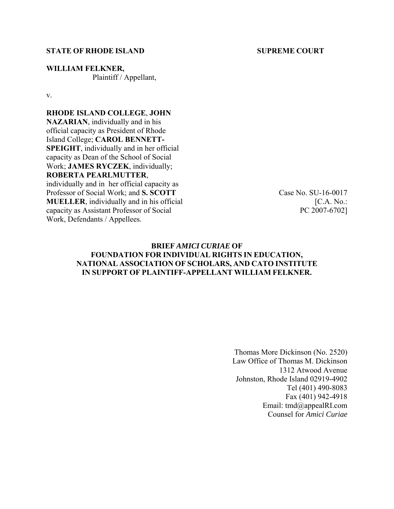#### **STATE OF RHODE ISLAND SUPREME COURT**

**WILLIAM FELKNER,**  Plaintiff / Appellant,

v.

## **RHODE ISLAND COLLEGE**, **JOHN**

**NAZARIAN**, individually and in his official capacity as President of Rhode Island College; **CAROL BENNETT-SPEIGHT**, individually and in her official capacity as Dean of the School of Social Work; **JAMES RYCZEK**, individually; **ROBERTA PEARLMUTTER**, individually and in her official capacity as

Professor of Social Work; and **S. SCOTT MUELLER**, individually and in his official capacity as Assistant Professor of Social Work, Defendants / Appellees.

Case No. SU-16-0017  $[CA. No.:$ PC 2007-6702]

## **BRIEF** *AMICI CURIAE* **OF FOUNDATION FOR INDIVIDUAL RIGHTS IN EDUCATION, NATIONAL ASSOCIATION OF SCHOLARS, AND CATO INSTITUTE IN SUPPORT OF PLAINTIFF-APPELLANT WILLIAM FELKNER.**

Thomas More Dickinson (No. 2520) Law Office of Thomas M. Dickinson 1312 Atwood Avenue Johnston, Rhode Island 02919-4902 Tel (401) 490-8083 Fax (401) 942-4918 Email: tmd@appealRI.com Counsel for *Amici Curiae*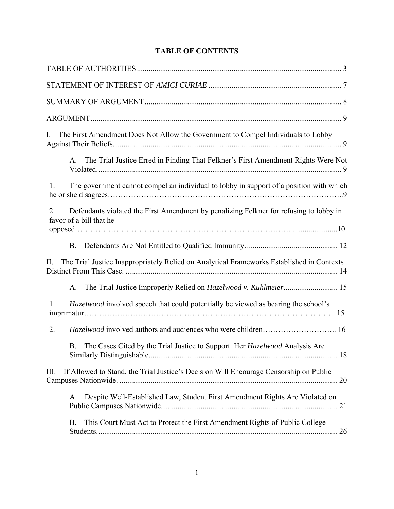# **TABLE OF CONTENTS**

| The First Amendment Does Not Allow the Government to Compel Individuals to Lobby<br>I.                                  |
|-------------------------------------------------------------------------------------------------------------------------|
| The Trial Justice Erred in Finding That Felkner's First Amendment Rights Were Not<br>А.                                 |
| The government cannot compel an individual to lobby in support of a position with which<br>1.                           |
| Defendants violated the First Amendment by penalizing Felkner for refusing to lobby in<br>2.<br>favor of a bill that he |
| <b>B.</b>                                                                                                               |
| The Trial Justice Inappropriately Relied on Analytical Frameworks Established in Contexts<br>П.                         |
| A.                                                                                                                      |
| <i>Hazelwood</i> involved speech that could potentially be viewed as bearing the school's<br>1.                         |
| 2.                                                                                                                      |
| The Cases Cited by the Trial Justice to Support Her Hazelwood Analysis Are<br>B.                                        |
| If Allowed to Stand, the Trial Justice's Decision Will Encourage Censorship on Public<br>Ш.                             |
| Despite Well-Established Law, Student First Amendment Rights Are Violated on<br>A.                                      |
| This Court Must Act to Protect the First Amendment Rights of Public College<br>B.                                       |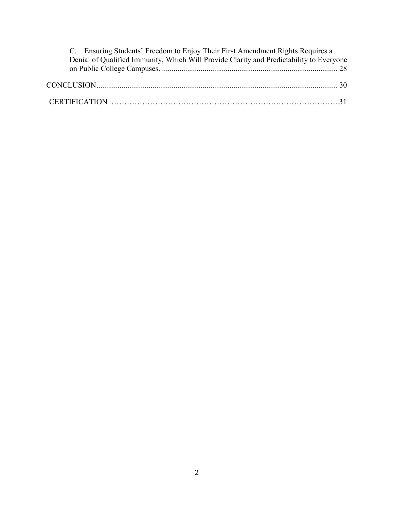| C. Ensuring Students' Freedom to Enjoy Their First Amendment Rights Requires a          |  |
|-----------------------------------------------------------------------------------------|--|
| Denial of Qualified Immunity, Which Will Provide Clarity and Predictability to Everyone |  |
|                                                                                         |  |
|                                                                                         |  |
|                                                                                         |  |
|                                                                                         |  |
|                                                                                         |  |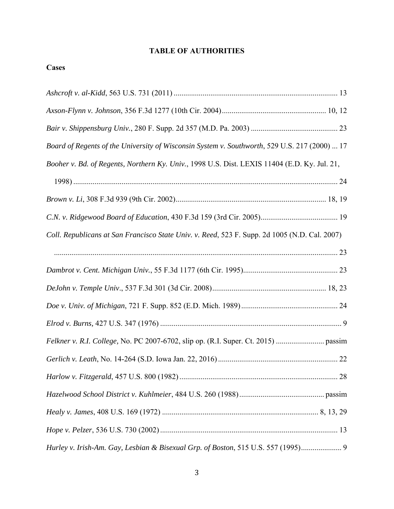# **TABLE OF AUTHORITIES**

| × |
|---|
|   |

| Board of Regents of the University of Wisconsin System v. Southworth, 529 U.S. 217 (2000)  17 |
|-----------------------------------------------------------------------------------------------|
| Booher v. Bd. of Regents, Northern Ky. Univ., 1998 U.S. Dist. LEXIS 11404 (E.D. Ky. Jul. 21,  |
|                                                                                               |
|                                                                                               |
|                                                                                               |
| Coll. Republicans at San Francisco State Univ. v. Reed, 523 F. Supp. 2d 1005 (N.D. Cal. 2007) |
|                                                                                               |
|                                                                                               |
|                                                                                               |
|                                                                                               |
|                                                                                               |
|                                                                                               |
|                                                                                               |
|                                                                                               |
|                                                                                               |
|                                                                                               |
|                                                                                               |
| Hurley v. Irish-Am. Gay, Lesbian & Bisexual Grp. of Boston, 515 U.S. 557 (1995) 9             |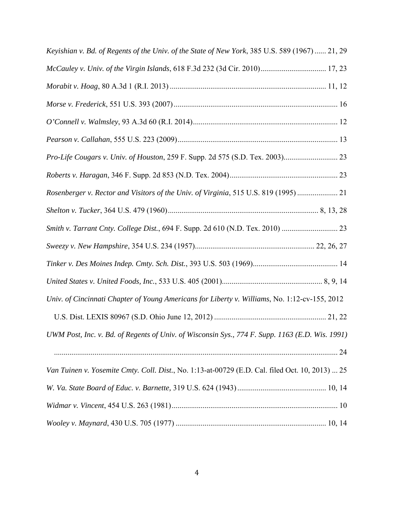| Keyishian v. Bd. of Regents of the Univ. of the State of New York, 385 U.S. 589 (1967)  21, 29  |
|-------------------------------------------------------------------------------------------------|
| McCauley v. Univ. of the Virgin Islands, 618 F.3d 232 (3d Cir. 2010) 17, 23                     |
|                                                                                                 |
|                                                                                                 |
|                                                                                                 |
|                                                                                                 |
|                                                                                                 |
|                                                                                                 |
| Rosenberger v. Rector and Visitors of the Univ. of Virginia, 515 U.S. 819 (1995)  21            |
|                                                                                                 |
| Smith v. Tarrant Cnty. College Dist., 694 F. Supp. 2d 610 (N.D. Tex. 2010)  23                  |
|                                                                                                 |
|                                                                                                 |
|                                                                                                 |
| Univ. of Cincinnati Chapter of Young Americans for Liberty v. Williams, No. 1:12-cv-155, 2012   |
|                                                                                                 |
| UWM Post, Inc. v. Bd. of Regents of Univ. of Wisconsin Sys., 774 F. Supp. 1163 (E.D. Wis. 1991) |
|                                                                                                 |
| Van Tuinen v. Yosemite Cmty. Coll. Dist., No. 1:13-at-00729 (E.D. Cal. filed Oct. 10, 2013)  25 |
|                                                                                                 |
|                                                                                                 |
|                                                                                                 |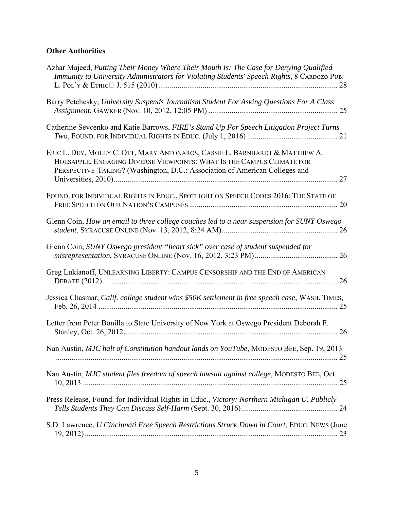# **Other Authorities**

| Azhar Majeed, Putting Their Money Where Their Mouth Is: The Case for Denying Qualified<br>Immunity to University Administrators for Violating Students' Speech Rights, 8 CARDOZO PUB.                                                |
|--------------------------------------------------------------------------------------------------------------------------------------------------------------------------------------------------------------------------------------|
| Barry Petchesky, University Suspends Journalism Student For Asking Questions For A Class                                                                                                                                             |
| Catherine Sevcenko and Katie Barrows, FIRE's Stand Up For Speech Litigation Project Turns                                                                                                                                            |
| ERIC L. DEY, MOLLY C. OTT, MARY ANTONAROS, CASSIE L. BARNHARDT & MATTHEW A.<br>HOLSAPPLE, ENGAGING DIVERSE VIEWPOINTS: WHAT IS THE CAMPUS CLIMATE FOR<br>PERSPECTIVE-TAKING? (Washington, D.C.: Association of American Colleges and |
| FOUND. FOR INDIVIDUAL RIGHTS IN EDUC., SPOTLIGHT ON SPEECH CODES 2016: THE STATE OF                                                                                                                                                  |
| Glenn Coin, How an email to three college coaches led to a near suspension for SUNY Oswego                                                                                                                                           |
| Glenn Coin, SUNY Oswego president "heart sick" over case of student suspended for                                                                                                                                                    |
| Greg Lukianoff, UNLEARNING LIBERTY: CAMPUS CENSORSHIP AND THE END OF AMERICAN                                                                                                                                                        |
| Jessica Chasmar, Calif. college student wins \$50K settlement in free speech case, WASH. TIMES,                                                                                                                                      |
| Letter from Peter Bonilla to State University of New York at Oswego President Deborah F.                                                                                                                                             |
| Nan Austin, MJC halt of Constitution handout lands on YouTube, MODESTO BEE, Sep. 19, 2013                                                                                                                                            |
| Nan Austin, MJC student files freedom of speech lawsuit against college, MODESTO BEE, Oct.                                                                                                                                           |
| Press Release, Found. for Individual Rights in Educ., Victory: Northern Michigan U. Publicly                                                                                                                                         |
| S.D. Lawrence, U Cincinnati Free Speech Restrictions Struck Down in Court, EDUC. NEWS (June                                                                                                                                          |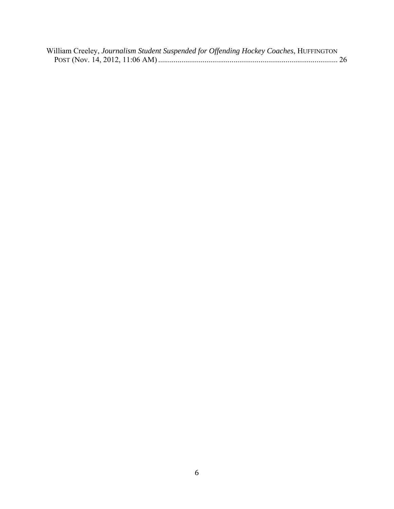| William Creeley, Journalism Student Suspended for Offending Hockey Coaches, HUFFINGTON |  |
|----------------------------------------------------------------------------------------|--|
|                                                                                        |  |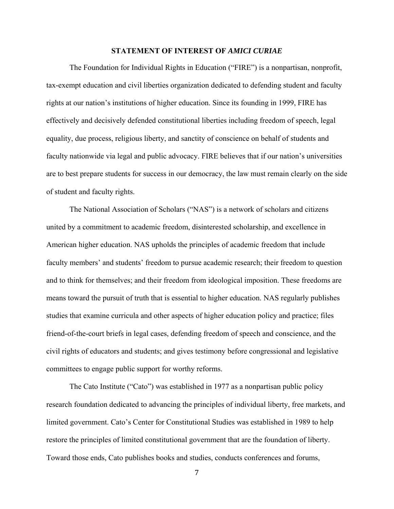#### **STATEMENT OF INTEREST OF** *AMICI CURIAE*

The Foundation for Individual Rights in Education ("FIRE") is a nonpartisan, nonprofit, tax-exempt education and civil liberties organization dedicated to defending student and faculty rights at our nation's institutions of higher education. Since its founding in 1999, FIRE has effectively and decisively defended constitutional liberties including freedom of speech, legal equality, due process, religious liberty, and sanctity of conscience on behalf of students and faculty nationwide via legal and public advocacy. FIRE believes that if our nation's universities are to best prepare students for success in our democracy, the law must remain clearly on the side of student and faculty rights.

The National Association of Scholars ("NAS") is a network of scholars and citizens united by a commitment to academic freedom, disinterested scholarship, and excellence in American higher education. NAS upholds the principles of academic freedom that include faculty members' and students' freedom to pursue academic research; their freedom to question and to think for themselves; and their freedom from ideological imposition. These freedoms are means toward the pursuit of truth that is essential to higher education. NAS regularly publishes studies that examine curricula and other aspects of higher education policy and practice; files friend-of-the-court briefs in legal cases, defending freedom of speech and conscience, and the civil rights of educators and students; and gives testimony before congressional and legislative committees to engage public support for worthy reforms.

The Cato Institute ("Cato") was established in 1977 as a nonpartisan public policy research foundation dedicated to advancing the principles of individual liberty, free markets, and limited government. Cato's Center for Constitutional Studies was established in 1989 to help restore the principles of limited constitutional government that are the foundation of liberty. Toward those ends, Cato publishes books and studies, conducts conferences and forums,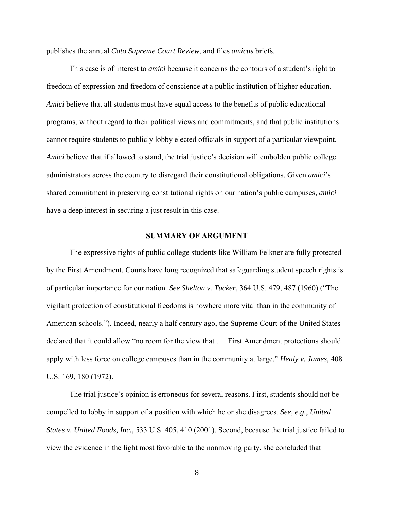publishes the annual *Cato Supreme Court Review*, and files *amicus* briefs.

This case is of interest to *amici* because it concerns the contours of a student's right to freedom of expression and freedom of conscience at a public institution of higher education. *Amici* believe that all students must have equal access to the benefits of public educational programs, without regard to their political views and commitments, and that public institutions cannot require students to publicly lobby elected officials in support of a particular viewpoint. *Amici* believe that if allowed to stand, the trial justice's decision will embolden public college administrators across the country to disregard their constitutional obligations. Given *amici*'s shared commitment in preserving constitutional rights on our nation's public campuses, *amici* have a deep interest in securing a just result in this case.

#### **SUMMARY OF ARGUMENT**

The expressive rights of public college students like William Felkner are fully protected by the First Amendment. Courts have long recognized that safeguarding student speech rights is of particular importance for our nation. *See Shelton v. Tucker*, 364 U.S. 479, 487 (1960) ("The vigilant protection of constitutional freedoms is nowhere more vital than in the community of American schools."). Indeed, nearly a half century ago, the Supreme Court of the United States declared that it could allow "no room for the view that . . . First Amendment protections should apply with less force on college campuses than in the community at large." *Healy v. James*, 408 U.S. 169, 180 (1972).

The trial justice's opinion is erroneous for several reasons. First, students should not be compelled to lobby in support of a position with which he or she disagrees. *See, e.g.*, *United States v. United Foods, Inc.*, 533 U.S. 405, 410 (2001). Second, because the trial justice failed to view the evidence in the light most favorable to the nonmoving party, she concluded that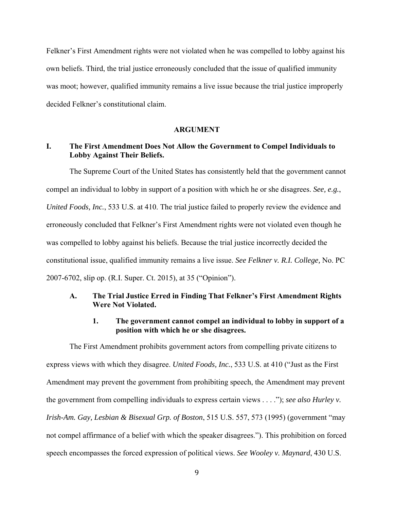Felkner's First Amendment rights were not violated when he was compelled to lobby against his own beliefs. Third, the trial justice erroneously concluded that the issue of qualified immunity was moot; however, qualified immunity remains a live issue because the trial justice improperly decided Felkner's constitutional claim.

#### **ARGUMENT**

# **I. The First Amendment Does Not Allow the Government to Compel Individuals to Lobby Against Their Beliefs.**

The Supreme Court of the United States has consistently held that the government cannot compel an individual to lobby in support of a position with which he or she disagrees. *See, e.g.*, *United Foods, Inc.*, 533 U.S. at 410. The trial justice failed to properly review the evidence and erroneously concluded that Felkner's First Amendment rights were not violated even though he was compelled to lobby against his beliefs. Because the trial justice incorrectly decided the constitutional issue, qualified immunity remains a live issue. *See Felkner v. R.I. College,* No. PC 2007-6702, slip op. (R.I. Super. Ct. 2015), at 35 ("Opinion").

#### **A. The Trial Justice Erred in Finding That Felkner's First Amendment Rights Were Not Violated.**

#### **1. The government cannot compel an individual to lobby in support of a position with which he or she disagrees.**

The First Amendment prohibits government actors from compelling private citizens to express views with which they disagree. *United Foods, Inc.*, 533 U.S. at 410 ("Just as the First Amendment may prevent the government from prohibiting speech, the Amendment may prevent the government from compelling individuals to express certain views . . . ."); *see also Hurley v. Irish-Am. Gay, Lesbian & Bisexual Grp. of Boston*, 515 U.S. 557, 573 (1995) (government "may not compel affirmance of a belief with which the speaker disagrees."). This prohibition on forced speech encompasses the forced expression of political views. *See Wooley v. Maynard*, 430 U.S.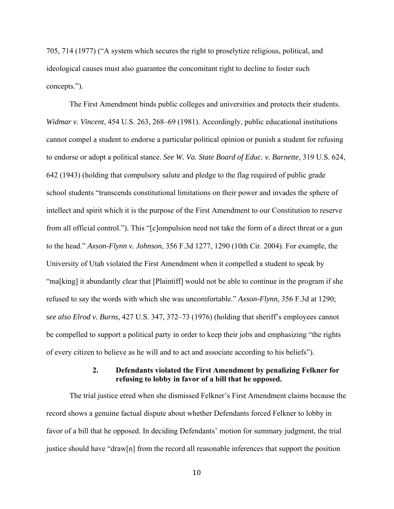705, 714 (1977) ("A system which secures the right to proselytize religious, political, and ideological causes must also guarantee the concomitant right to decline to foster such concepts.").

The First Amendment binds public colleges and universities and protects their students. *Widmar v. Vincent*, 454 U.S. 263, 268–69 (1981). Accordingly, public educational institutions cannot compel a student to endorse a particular political opinion or punish a student for refusing to endorse or adopt a political stance. *See W. Va. State Board of Educ. v. Barnette,* 319 U.S. 624, 642 (1943) (holding that compulsory salute and pledge to the flag required of public grade school students "transcends constitutional limitations on their power and invades the sphere of intellect and spirit which it is the purpose of the First Amendment to our Constitution to reserve from all official control."). This "[c]ompulsion need not take the form of a direct threat or a gun to the head." *Axson-Flynn v. Johnson*, 356 F.3d 1277, 1290 (10th Cir. 2004). For example, the University of Utah violated the First Amendment when it compelled a student to speak by "ma[king] it abundantly clear that [Plaintiff] would not be able to continue in the program if she refused to say the words with which she was uncomfortable." *Axson-Flynn,* 356 F.3d at 1290; *see also Elrod v. Burns,* 427 U.S. 347, 372–73 (1976) (holding that sheriff's employees cannot be compelled to support a political party in order to keep their jobs and emphasizing "the rights of every citizen to believe as he will and to act and associate according to his beliefs").

## **2. Defendants violated the First Amendment by penalizing Felkner for refusing to lobby in favor of a bill that he opposed.**

The trial justice erred when she dismissed Felkner's First Amendment claims because the record shows a genuine factual dispute about whether Defendants forced Felkner to lobby in favor of a bill that he opposed. In deciding Defendants' motion for summary judgment, the trial justice should have "draw[n] from the record all reasonable inferences that support the position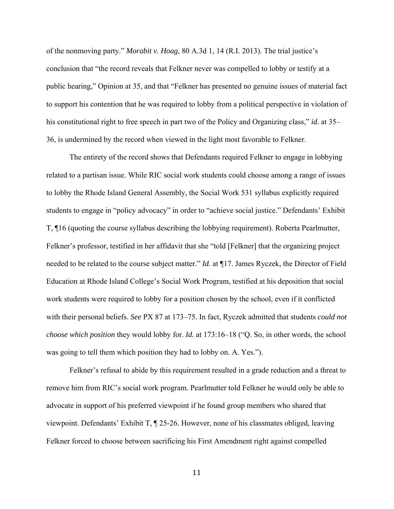of the nonmoving party." *Morabit v. Hoag*, 80 A.3d 1, 14 (R.I. 2013). The trial justice's conclusion that "the record reveals that Felkner never was compelled to lobby or testify at a public hearing," Opinion at 35, and that "Felkner has presented no genuine issues of material fact to support his contention that he was required to lobby from a political perspective in violation of his constitutional right to free speech in part two of the Policy and Organizing class," *id.* at 35– 36, is undermined by the record when viewed in the light most favorable to Felkner.

The entirety of the record shows that Defendants required Felkner to engage in lobbying related to a partisan issue. While RIC social work students could choose among a range of issues to lobby the Rhode Island General Assembly, the Social Work 531 syllabus explicitly required students to engage in "policy advocacy" in order to "achieve social justice." Defendants' Exhibit T, ¶16 (quoting the course syllabus describing the lobbying requirement). Roberta Pearlmutter, Felkner's professor, testified in her affidavit that she "told [Felkner] that the organizing project needed to be related to the course subject matter." *Id.* at ¶17. James Ryczek, the Director of Field Education at Rhode Island College's Social Work Program, testified at his deposition that social work students were required to lobby for a position chosen by the school, even if it conflicted with their personal beliefs. *See* PX 87 at 173–75. In fact, Ryczek admitted that students *could not choose which position* they would lobby for. *Id.* at 173:16–18 ("Q. So, in other words, the school was going to tell them which position they had to lobby on. A. Yes.").

Felkner's refusal to abide by this requirement resulted in a grade reduction and a threat to remove him from RIC's social work program. Pearlmutter told Felkner he would only be able to advocate in support of his preferred viewpoint if he found group members who shared that viewpoint. Defendants' Exhibit T, ¶ 25-26. However, none of his classmates obliged, leaving Felkner forced to choose between sacrificing his First Amendment right against compelled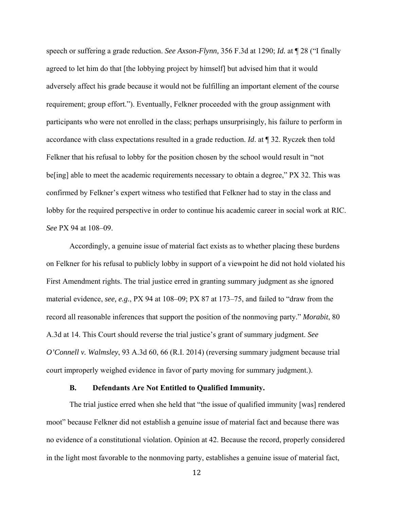speech or suffering a grade reduction. *See Axson-Flynn,* 356 F.3d at 1290; *Id.* at ¶ 28 ("I finally agreed to let him do that [the lobbying project by himself] but advised him that it would adversely affect his grade because it would not be fulfilling an important element of the course requirement; group effort."). Eventually, Felkner proceeded with the group assignment with participants who were not enrolled in the class; perhaps unsurprisingly, his failure to perform in accordance with class expectations resulted in a grade reduction. *Id*. at ¶ 32. Ryczek then told Felkner that his refusal to lobby for the position chosen by the school would result in "not beling] able to meet the academic requirements necessary to obtain a degree," PX 32. This was confirmed by Felkner's expert witness who testified that Felkner had to stay in the class and lobby for the required perspective in order to continue his academic career in social work at RIC. *See* PX 94 at 108–09.

Accordingly, a genuine issue of material fact exists as to whether placing these burdens on Felkner for his refusal to publicly lobby in support of a viewpoint he did not hold violated his First Amendment rights. The trial justice erred in granting summary judgment as she ignored material evidence, *see, e.g.*, PX 94 at 108–09; PX 87 at 173–75, and failed to "draw from the record all reasonable inferences that support the position of the nonmoving party." *Morabit*, 80 A.3d at 14. This Court should reverse the trial justice's grant of summary judgment. *See O'Connell v. Walmsley*, 93 A.3d 60, 66 (R.I. 2014) (reversing summary judgment because trial court improperly weighed evidence in favor of party moving for summary judgment.).

#### **B. Defendants Are Not Entitled to Qualified Immunity.**

The trial justice erred when she held that "the issue of qualified immunity [was] rendered moot" because Felkner did not establish a genuine issue of material fact and because there was no evidence of a constitutional violation. Opinion at 42. Because the record, properly considered in the light most favorable to the nonmoving party, establishes a genuine issue of material fact,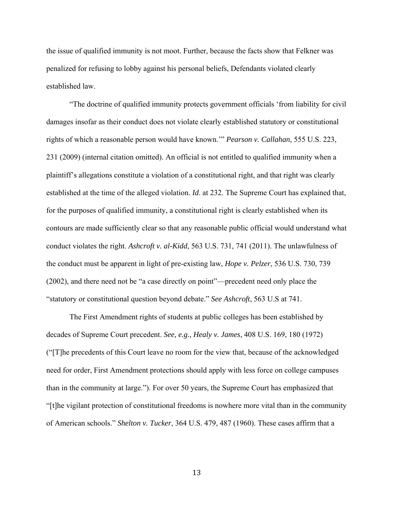the issue of qualified immunity is not moot. Further, because the facts show that Felkner was penalized for refusing to lobby against his personal beliefs, Defendants violated clearly established law.

"The doctrine of qualified immunity protects government officials 'from liability for civil damages insofar as their conduct does not violate clearly established statutory or constitutional rights of which a reasonable person would have known.'" *Pearson v. Callahan*, 555 U.S. 223, 231 (2009) (internal citation omitted). An official is not entitled to qualified immunity when a plaintiff's allegations constitute a violation of a constitutional right, and that right was clearly established at the time of the alleged violation. *Id*. at 232. The Supreme Court has explained that, for the purposes of qualified immunity, a constitutional right is clearly established when its contours are made sufficiently clear so that any reasonable public official would understand what conduct violates the right. *Ashcroft v. al-Kidd*, 563 U.S. 731, 741 (2011). The unlawfulness of the conduct must be apparent in light of pre-existing law, *Hope v. Pelzer*, 536 U.S. 730, 739 (2002), and there need not be "a case directly on point"—precedent need only place the "statutory or constitutional question beyond debate." *See Ashcroft*, 563 U.S at 741.

The First Amendment rights of students at public colleges has been established by decades of Supreme Court precedent. *See, e.g.*, *Healy v. James*, 408 U.S. 169, 180 (1972) ("[T]he precedents of this Court leave no room for the view that, because of the acknowledged need for order, First Amendment protections should apply with less force on college campuses than in the community at large."). For over 50 years, the Supreme Court has emphasized that "[t]he vigilant protection of constitutional freedoms is nowhere more vital than in the community of American schools." *Shelton v. Tucker*, 364 U.S. 479, 487 (1960). These cases affirm that a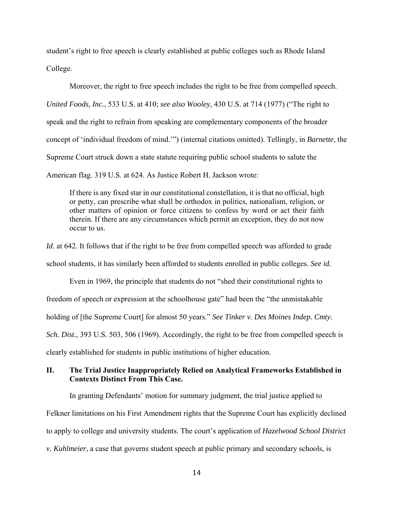student's right to free speech is clearly established at public colleges such as Rhode Island College.

Moreover, the right to free speech includes the right to be free from compelled speech. *United Foods, Inc.*, 533 U.S. at 410; *see also Wooley*, 430 U.S. at 714 (1977) ("The right to speak and the right to refrain from speaking are complementary components of the broader concept of 'individual freedom of mind.'") (internal citations omitted). Tellingly, in *Barnette*, the Supreme Court struck down a state statute requiring public school students to salute the American flag. 319 U.S. at 624. As Justice Robert H. Jackson wrote:

If there is any fixed star in our constitutional constellation, it is that no official, high or petty, can prescribe what shall be orthodox in politics, nationalism, religion, or other matters of opinion or force citizens to confess by word or act their faith therein. If there are any circumstances which permit an exception, they do not now occur to us.

*Id*. at 642. It follows that if the right to be free from compelled speech was afforded to grade school students, it has similarly been afforded to students enrolled in public colleges. *See id.*

Even in 1969, the principle that students do not "shed their constitutional rights to freedom of speech or expression at the schoolhouse gate" had been the "the unmistakable holding of [the Supreme Court] for almost 50 years." *See Tinker v. Des Moines Indep. Cmty. Sch. Dist.*, 393 U.S. 503, 506 (1969). Accordingly, the right to be free from compelled speech is clearly established for students in public institutions of higher education.

# **II. The Trial Justice Inappropriately Relied on Analytical Frameworks Established in Contexts Distinct From This Case.**

In granting Defendants' motion for summary judgment, the trial justice applied to Felkner limitations on his First Amendment rights that the Supreme Court has explicitly declined to apply to college and university students. The court's application of *Hazelwood School District v. Kuhlmeier*, a case that governs student speech at public primary and secondary schools, is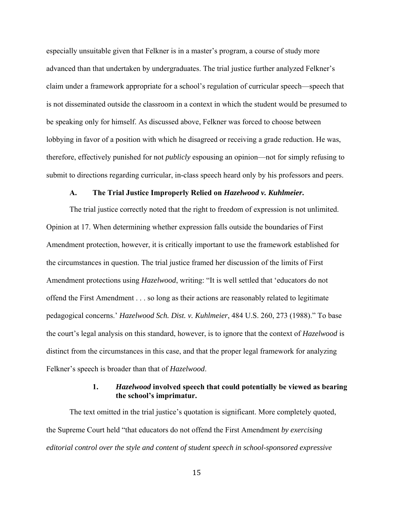especially unsuitable given that Felkner is in a master's program, a course of study more advanced than that undertaken by undergraduates. The trial justice further analyzed Felkner's claim under a framework appropriate for a school's regulation of curricular speech—speech that is not disseminated outside the classroom in a context in which the student would be presumed to be speaking only for himself. As discussed above, Felkner was forced to choose between lobbying in favor of a position with which he disagreed or receiving a grade reduction. He was, therefore, effectively punished for not *publicly* espousing an opinion—not for simply refusing to submit to directions regarding curricular, in-class speech heard only by his professors and peers.

#### **A. The Trial Justice Improperly Relied on** *Hazelwood v. Kuhlmeier***.**

The trial justice correctly noted that the right to freedom of expression is not unlimited. Opinion at 17. When determining whether expression falls outside the boundaries of First Amendment protection, however, it is critically important to use the framework established for the circumstances in question. The trial justice framed her discussion of the limits of First Amendment protections using *Hazelwood*, writing: "It is well settled that 'educators do not offend the First Amendment . . . so long as their actions are reasonably related to legitimate pedagogical concerns.' *Hazelwood Sch. Dist. v. Kuhlmeier*, 484 U.S. 260, 273 (1988)." To base the court's legal analysis on this standard, however, is to ignore that the context of *Hazelwood* is distinct from the circumstances in this case, and that the proper legal framework for analyzing Felkner's speech is broader than that of *Hazelwood*.

#### **1.** *Hazelwood* **involved speech that could potentially be viewed as bearing the school's imprimatur.**

The text omitted in the trial justice's quotation is significant. More completely quoted, the Supreme Court held "that educators do not offend the First Amendment *by exercising editorial control over the style and content of student speech in school-sponsored expressive*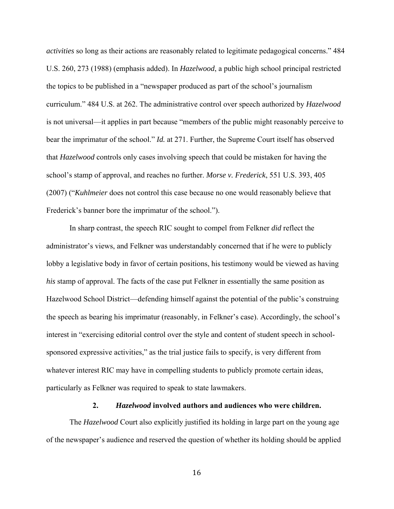*activities* so long as their actions are reasonably related to legitimate pedagogical concerns." 484 U.S. 260, 273 (1988) (emphasis added). In *Hazelwood*, a public high school principal restricted the topics to be published in a "newspaper produced as part of the school's journalism curriculum." 484 U.S. at 262. The administrative control over speech authorized by *Hazelwood* is not universal—it applies in part because "members of the public might reasonably perceive to bear the imprimatur of the school." *Id.* at 271. Further, the Supreme Court itself has observed that *Hazelwood* controls only cases involving speech that could be mistaken for having the school's stamp of approval, and reaches no further. *Morse v. Frederick*, 551 U.S. 393, 405 (2007) ("*Kuhlmeier* does not control this case because no one would reasonably believe that Frederick's banner bore the imprimatur of the school.").

In sharp contrast, the speech RIC sought to compel from Felkner *did* reflect the administrator's views, and Felkner was understandably concerned that if he were to publicly lobby a legislative body in favor of certain positions, his testimony would be viewed as having *his* stamp of approval. The facts of the case put Felkner in essentially the same position as Hazelwood School District—defending himself against the potential of the public's construing the speech as bearing his imprimatur (reasonably, in Felkner's case). Accordingly, the school's interest in "exercising editorial control over the style and content of student speech in schoolsponsored expressive activities," as the trial justice fails to specify, is very different from whatever interest RIC may have in compelling students to publicly promote certain ideas, particularly as Felkner was required to speak to state lawmakers.

#### **2.** *Hazelwood* **involved authors and audiences who were children.**

The *Hazelwood* Court also explicitly justified its holding in large part on the young age of the newspaper's audience and reserved the question of whether its holding should be applied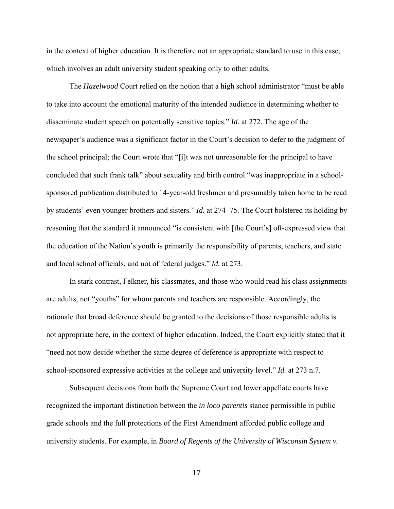in the context of higher education. It is therefore not an appropriate standard to use in this case, which involves an adult university student speaking only to other adults.

The *Hazelwood* Court relied on the notion that a high school administrator "must be able to take into account the emotional maturity of the intended audience in determining whether to disseminate student speech on potentially sensitive topics." *Id.* at 272. The age of the newspaper's audience was a significant factor in the Court's decision to defer to the judgment of the school principal; the Court wrote that "[i]t was not unreasonable for the principal to have concluded that such frank talk" about sexuality and birth control "was inappropriate in a schoolsponsored publication distributed to 14-year-old freshmen and presumably taken home to be read by students' even younger brothers and sisters." *Id.* at 274–75. The Court bolstered its holding by reasoning that the standard it announced "is consistent with [the Court's] oft-expressed view that the education of the Nation's youth is primarily the responsibility of parents, teachers, and state and local school officials, and not of federal judges." *Id.* at 273.

In stark contrast, Felkner, his classmates, and those who would read his class assignments are adults, not "youths" for whom parents and teachers are responsible. Accordingly, the rationale that broad deference should be granted to the decisions of those responsible adults is not appropriate here, in the context of higher education. Indeed, the Court explicitly stated that it "need not now decide whether the same degree of deference is appropriate with respect to school-sponsored expressive activities at the college and university level." *Id.* at 273 n.7.

Subsequent decisions from both the Supreme Court and lower appellate courts have recognized the important distinction between the *in loco parentis* stance permissible in public grade schools and the full protections of the First Amendment afforded public college and university students. For example, in *Board of Regents of the University of Wisconsin System v.*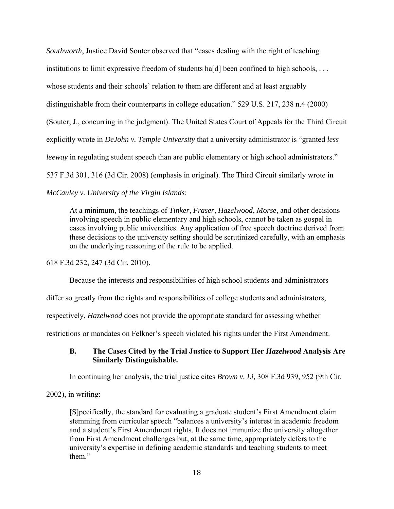*Southworth*, Justice David Souter observed that "cases dealing with the right of teaching institutions to limit expressive freedom of students hald been confined to high schools,  $\dots$ whose students and their schools' relation to them are different and at least arguably distinguishable from their counterparts in college education." 529 U.S. 217, 238 n.4 (2000) (Souter, J., concurring in the judgment). The United States Court of Appeals for the Third Circuit explicitly wrote in *DeJohn v. Temple University* that a university administrator is "granted *less leeway* in regulating student speech than are public elementary or high school administrators." 537 F.3d 301, 316 (3d Cir. 2008) (emphasis in original). The Third Circuit similarly wrote in *McCauley v. University of the Virgin Islands*:

At a minimum, the teachings of *Tinker*, *Fraser*, *Hazelwood*, *Morse*, and other decisions involving speech in public elementary and high schools, cannot be taken as gospel in cases involving public universities. Any application of free speech doctrine derived from these decisions to the university setting should be scrutinized carefully, with an emphasis on the underlying reasoning of the rule to be applied.

618 F.3d 232, 247 (3d Cir. 2010).

Because the interests and responsibilities of high school students and administrators

differ so greatly from the rights and responsibilities of college students and administrators,

respectively, *Hazelwood* does not provide the appropriate standard for assessing whether

restrictions or mandates on Felkner's speech violated his rights under the First Amendment.

#### **B. The Cases Cited by the Trial Justice to Support Her** *Hazelwood* **Analysis Are Similarly Distinguishable.**

In continuing her analysis, the trial justice cites *Brown v. Li*, 308 F.3d 939, 952 (9th Cir.

2002), in writing:

[S]pecifically, the standard for evaluating a graduate student's First Amendment claim stemming from curricular speech "balances a university's interest in academic freedom and a student's First Amendment rights. It does not immunize the university altogether from First Amendment challenges but, at the same time, appropriately defers to the university's expertise in defining academic standards and teaching students to meet them."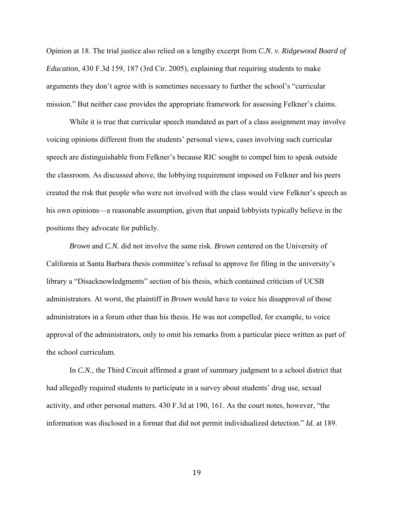Opinion at 18. The trial justice also relied on a lengthy excerpt from *C.N. v. Ridgewood Board of Education*, 430 F.3d 159, 187 (3rd Cir. 2005), explaining that requiring students to make arguments they don't agree with is sometimes necessary to further the school's "curricular mission." But neither case provides the appropriate framework for assessing Felkner's claims.

While it is true that curricular speech mandated as part of a class assignment may involve voicing opinions different from the students' personal views, cases involving such curricular speech are distinguishable from Felkner's because RIC sought to compel him to speak outside the classroom. As discussed above, the lobbying requirement imposed on Felkner and his peers created the risk that people who were not involved with the class would view Felkner's speech as his own opinions—a reasonable assumption, given that unpaid lobbyists typically believe in the positions they advocate for publicly.

*Brown* and *C.N.* did not involve the same risk. *Brown* centered on the University of California at Santa Barbara thesis committee's refusal to approve for filing in the university's library a "Disacknowledgments" section of his thesis, which contained criticism of UCSB administrators. At worst, the plaintiff in *Brown* would have to voice his disapproval of those administrators in a forum other than his thesis. He was not compelled, for example, to voice approval of the administrators, only to omit his remarks from a particular piece written as part of the school curriculum.

In *C.N.*, the Third Circuit affirmed a grant of summary judgment to a school district that had allegedly required students to participate in a survey about students' drug use, sexual activity, and other personal matters. 430 F.3d at 190, 161. As the court notes, however, "the information was disclosed in a format that did not permit individualized detection." *Id.* at 189.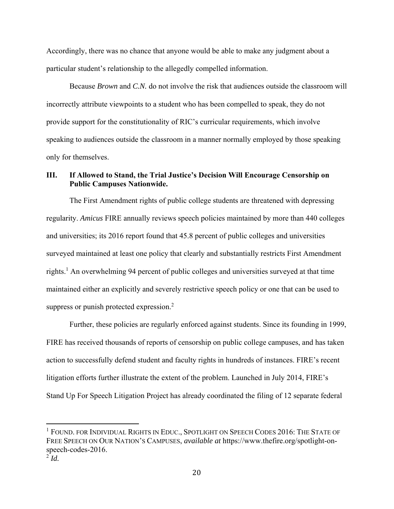Accordingly, there was no chance that anyone would be able to make any judgment about a particular student's relationship to the allegedly compelled information.

Because *Brown* and *C.N.* do not involve the risk that audiences outside the classroom will incorrectly attribute viewpoints to a student who has been compelled to speak, they do not provide support for the constitutionality of RIC's curricular requirements, which involve speaking to audiences outside the classroom in a manner normally employed by those speaking only for themselves.

# **III. If Allowed to Stand, the Trial Justice's Decision Will Encourage Censorship on Public Campuses Nationwide.**

The First Amendment rights of public college students are threatened with depressing regularity. *Amicus* FIRE annually reviews speech policies maintained by more than 440 colleges and universities; its 2016 report found that 45.8 percent of public colleges and universities surveyed maintained at least one policy that clearly and substantially restricts First Amendment rights.<sup>1</sup> An overwhelming 94 percent of public colleges and universities surveyed at that time maintained either an explicitly and severely restrictive speech policy or one that can be used to suppress or punish protected expression.<sup>2</sup>

Further, these policies are regularly enforced against students. Since its founding in 1999, FIRE has received thousands of reports of censorship on public college campuses, and has taken action to successfully defend student and faculty rights in hundreds of instances. FIRE's recent litigation efforts further illustrate the extent of the problem. Launched in July 2014, FIRE's Stand Up For Speech Litigation Project has already coordinated the filing of 12 separate federal

<sup>&</sup>lt;sup>1</sup> FOUND. FOR INDIVIDUAL RIGHTS IN EDUC., SPOTLIGHT ON SPEECH CODES 2016: THE STATE OF FREE SPEECH ON OUR NATION'S CAMPUSES, *available at* https://www.thefire.org/spotlight-onspeech-codes-2016.

 $2^{\text{-}}$ *Id.*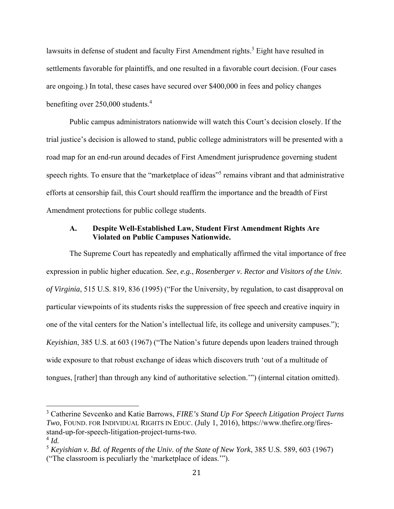lawsuits in defense of student and faculty First Amendment rights.<sup>3</sup> Eight have resulted in settlements favorable for plaintiffs, and one resulted in a favorable court decision. (Four cases are ongoing.) In total, these cases have secured over \$400,000 in fees and policy changes benefiting over 250,000 students.4

Public campus administrators nationwide will watch this Court's decision closely. If the trial justice's decision is allowed to stand, public college administrators will be presented with a road map for an end-run around decades of First Amendment jurisprudence governing student speech rights. To ensure that the "marketplace of ideas"<sup>5</sup> remains vibrant and that administrative efforts at censorship fail, this Court should reaffirm the importance and the breadth of First Amendment protections for public college students.

## **A. Despite Well-Established Law, Student First Amendment Rights Are Violated on Public Campuses Nationwide.**

The Supreme Court has repeatedly and emphatically affirmed the vital importance of free expression in public higher education. *See*, *e.g.*, *Rosenberger v. Rector and Visitors of the Univ. of Virginia*, 515 U.S. 819, 836 (1995) ("For the University, by regulation, to cast disapproval on particular viewpoints of its students risks the suppression of free speech and creative inquiry in one of the vital centers for the Nation's intellectual life, its college and university campuses."); *Keyishian*, 385 U.S. at 603 (1967) ("The Nation's future depends upon leaders trained through wide exposure to that robust exchange of ideas which discovers truth 'out of a multitude of tongues, [rather] than through any kind of authoritative selection.'") (internal citation omitted).

<sup>3</sup> Catherine Sevcenko and Katie Barrows, *FIRE's Stand Up For Speech Litigation Project Turns Two*, FOUND. FOR INDIVIDUAL RIGHTS IN EDUC. (July 1, 2016), https://www.thefire.org/firesstand-up-for-speech-litigation-project-turns-two.

 $^{4}$  *Id.* 

<sup>5</sup> *Keyishian v. Bd. of Regents of the Univ. of the State of New York*, 385 U.S. 589, 603 (1967) ("The classroom is peculiarly the 'marketplace of ideas.'").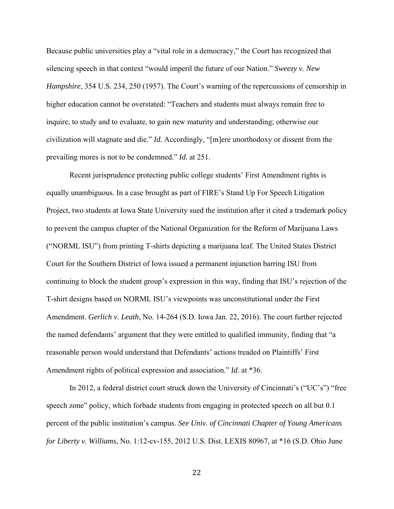Because public universities play a "vital role in a democracy," the Court has recognized that silencing speech in that context "would imperil the future of our Nation." *Sweezy v. New Hampshire*, 354 U.S. 234, 250 (1957). The Court's warning of the repercussions of censorship in higher education cannot be overstated: "Teachers and students must always remain free to inquire, to study and to evaluate, to gain new maturity and understanding; otherwise our civilization will stagnate and die." *Id.* Accordingly, "[m]ere unorthodoxy or dissent from the prevailing mores is not to be condemned." *Id.* at 251.

Recent jurisprudence protecting public college students' First Amendment rights is equally unambiguous. In a case brought as part of FIRE's Stand Up For Speech Litigation Project, two students at Iowa State University sued the institution after it cited a trademark policy to prevent the campus chapter of the National Organization for the Reform of Marijuana Laws ("NORML ISU") from printing T-shirts depicting a marijuana leaf. The United States District Court for the Southern District of Iowa issued a permanent injunction barring ISU from continuing to block the student group's expression in this way, finding that ISU's rejection of the T-shirt designs based on NORML ISU's viewpoints was unconstitutional under the First Amendment. *Gerlich v. Leath*, No. 14-264 (S.D. Iowa Jan. 22, 2016). The court further rejected the named defendants' argument that they were entitled to qualified immunity, finding that "a reasonable person would understand that Defendants' actions treaded on Plaintiffs' First Amendment rights of political expression and association." *Id.* at \*36.

In 2012, a federal district court struck down the University of Cincinnati's ("UC's") "free speech zone" policy, which forbade students from engaging in protected speech on all but 0.1 percent of the public institution's campus. *See Univ. of Cincinnati Chapter of Young Americans for Liberty v. Williams*, No. 1:12-cv-155, 2012 U.S. Dist. LEXIS 80967, at \*16 (S.D. Ohio June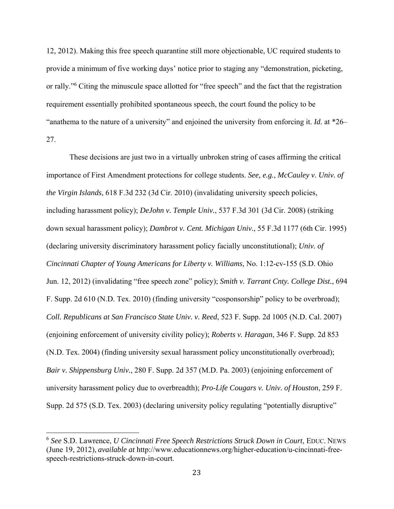12, 2012). Making this free speech quarantine still more objectionable, UC required students to provide a minimum of five working days' notice prior to staging any "demonstration, picketing, or rally."<sup>6</sup> Citing the minuscule space allotted for "free speech" and the fact that the registration requirement essentially prohibited spontaneous speech, the court found the policy to be "anathema to the nature of a university" and enjoined the university from enforcing it. *Id.* at \*26– 27.

These decisions are just two in a virtually unbroken string of cases affirming the critical importance of First Amendment protections for college students. *See, e.g.*, *McCauley v. Univ. of the Virgin Islands*, 618 F.3d 232 (3d Cir. 2010) (invalidating university speech policies, including harassment policy); *DeJohn v. Temple Univ.*, 537 F.3d 301 (3d Cir. 2008) (striking down sexual harassment policy); *Dambrot v. Cent. Michigan Univ.*, 55 F.3d 1177 (6th Cir. 1995) (declaring university discriminatory harassment policy facially unconstitutional); *Univ. of Cincinnati Chapter of Young Americans for Liberty v. Williams*, No. 1:12-cv-155 (S.D. Ohio Jun. 12, 2012) (invalidating "free speech zone" policy); *Smith v. Tarrant Cnty. College Dist.*, 694 F. Supp. 2d 610 (N.D. Tex. 2010) (finding university "cosponsorship" policy to be overbroad); *Coll. Republicans at San Francisco State Univ. v. Reed*, 523 F. Supp. 2d 1005 (N.D. Cal. 2007) (enjoining enforcement of university civility policy); *Roberts v. Haragan*, 346 F. Supp. 2d 853 (N.D. Tex. 2004) (finding university sexual harassment policy unconstitutionally overbroad); *Bair v. Shippensburg Univ.*, 280 F. Supp. 2d 357 (M.D. Pa. 2003) (enjoining enforcement of university harassment policy due to overbreadth); *Pro-Life Cougars v. Univ. of Houston*, 259 F. Supp. 2d 575 (S.D. Tex. 2003) (declaring university policy regulating "potentially disruptive"

<sup>6</sup> *See* S.D. Lawrence, *U Cincinnati Free Speech Restrictions Struck Down in Court*, EDUC. NEWS (June 19, 2012), *available at* http://www.educationnews.org/higher-education/u-cincinnati-freespeech-restrictions-struck-down-in-court.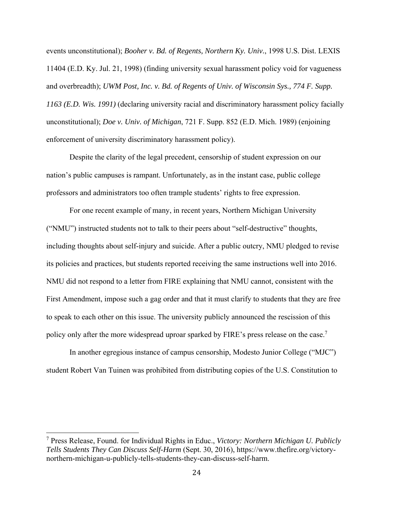events unconstitutional); *Booher v. Bd. of Regents, Northern Ky. Univ.*, 1998 U.S. Dist. LEXIS 11404 (E.D. Ky. Jul. 21, 1998) (finding university sexual harassment policy void for vagueness and overbreadth); *UWM Post, Inc. v. Bd. of Regents of Univ. of Wisconsin Sys., 774 F. Supp. 1163 (E.D. Wis. 1991)* (declaring university racial and discriminatory harassment policy facially unconstitutional); *Doe v. Univ. of Michigan*, 721 F. Supp. 852 (E.D. Mich. 1989) (enjoining enforcement of university discriminatory harassment policy).

Despite the clarity of the legal precedent, censorship of student expression on our nation's public campuses is rampant. Unfortunately, as in the instant case, public college professors and administrators too often trample students' rights to free expression.

For one recent example of many, in recent years, Northern Michigan University ("NMU") instructed students not to talk to their peers about "self-destructive" thoughts, including thoughts about self-injury and suicide. After a public outcry, NMU pledged to revise its policies and practices, but students reported receiving the same instructions well into 2016. NMU did not respond to a letter from FIRE explaining that NMU cannot, consistent with the First Amendment, impose such a gag order and that it must clarify to students that they are free to speak to each other on this issue. The university publicly announced the rescission of this policy only after the more widespread uproar sparked by FIRE's press release on the case.<sup>7</sup>

In another egregious instance of campus censorship, Modesto Junior College ("MJC") student Robert Van Tuinen was prohibited from distributing copies of the U.S. Constitution to

<sup>7</sup> Press Release, Found. for Individual Rights in Educ., *Victory: Northern Michigan U. Publicly Tells Students They Can Discuss Self-Harm* (Sept. 30, 2016), https://www.thefire.org/victorynorthern-michigan-u-publicly-tells-students-they-can-discuss-self-harm.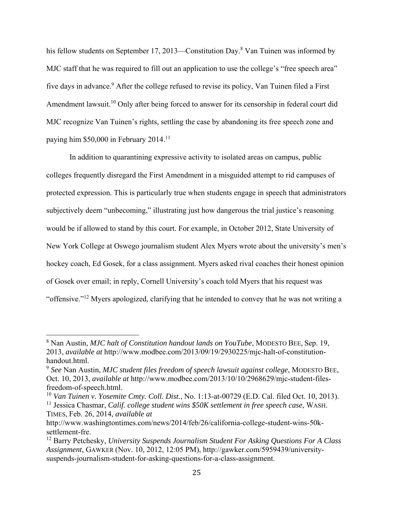his fellow students on September 17, 2013—Constitution Day.<sup>8</sup> Van Tuinen was informed by MJC staff that he was required to fill out an application to use the college's "free speech area" five days in advance.<sup>9</sup> After the college refused to revise its policy, Van Tuinen filed a First Amendment lawsuit.<sup>10</sup> Only after being forced to answer for its censorship in federal court did MJC recognize Van Tuinen's rights, settling the case by abandoning its free speech zone and paying him \$50,000 in February 2014.11

In addition to quarantining expressive activity to isolated areas on campus, public colleges frequently disregard the First Amendment in a misguided attempt to rid campuses of protected expression. This is particularly true when students engage in speech that administrators subjectively deem "unbecoming," illustrating just how dangerous the trial justice's reasoning would be if allowed to stand by this court. For example, in October 2012, State University of New York College at Oswego journalism student Alex Myers wrote about the university's men's hockey coach, Ed Gosek, for a class assignment. Myers asked rival coaches their honest opinion of Gosek over email; in reply, Cornell University's coach told Myers that his request was "offensive."12 Myers apologized, clarifying that he intended to convey that he was not writing a

<sup>8</sup> Nan Austin, *MJC halt of Constitution handout lands on YouTube*, MODESTO BEE, Sep. 19, 2013, *available at* http://www.modbee.com/2013/09/19/2930225/mjc-halt-of-constitutionhandout.html.

<sup>9</sup> *See* Nan Austin, *MJC student files freedom of speech lawsuit against college*, MODESTO BEE, Oct. 10, 2013, *available at* http://www.modbee.com/2013/10/10/2968629/mjc-student-filesfreedom-of-speech.html.

<sup>10</sup> *Van Tuinen v. Yosemite Cmty. Coll. Dist.*, No. 1:13-at-00729 (E.D. Cal. filed Oct. 10, 2013). 11 Jessica Chasmar, *Calif. college student wins \$50K settlement in free speech case*, WASH. TIMES, Feb. 26, 2014, *available at* 

http://www.washingtontimes.com/news/2014/feb/26/california-college-student-wins-50ksettlement-fre.

<sup>12</sup> Barry Petchesky, *University Suspends Journalism Student For Asking Questions For A Class Assignment*, GAWKER (Nov. 10, 2012, 12:05 PM), http://gawker.com/5959439/universitysuspends-journalism-student-for-asking-questions-for-a-class-assignment.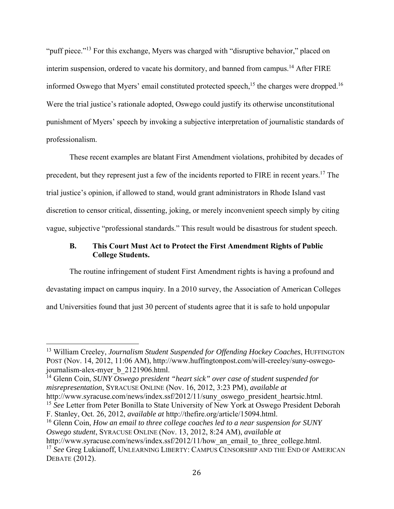"puff piece."13 For this exchange, Myers was charged with "disruptive behavior," placed on interim suspension, ordered to vacate his dormitory, and banned from campus.<sup>14</sup> After FIRE informed Oswego that Myers' email constituted protected speech,<sup>15</sup> the charges were dropped.<sup>16</sup> Were the trial justice's rationale adopted, Oswego could justify its otherwise unconstitutional punishment of Myers' speech by invoking a subjective interpretation of journalistic standards of professionalism.

These recent examples are blatant First Amendment violations, prohibited by decades of precedent, but they represent just a few of the incidents reported to FIRE in recent years.17 The trial justice's opinion, if allowed to stand, would grant administrators in Rhode Island vast discretion to censor critical, dissenting, joking, or merely inconvenient speech simply by citing vague, subjective "professional standards." This result would be disastrous for student speech.

# **B. This Court Must Act to Protect the First Amendment Rights of Public College Students.**

The routine infringement of student First Amendment rights is having a profound and devastating impact on campus inquiry. In a 2010 survey, the Association of American Colleges and Universities found that just 30 percent of students agree that it is safe to hold unpopular

 

http://www.syracuse.com/news/index.ssf/2012/11/how an email to three college.html. <sup>17</sup> *See* Greg Lukianoff, UNLEARNING LIBERTY: CAMPUS CENSORSHIP AND THE END OF AMERICAN DEBATE (2012).

<sup>13</sup> William Creeley, *Journalism Student Suspended for Offending Hockey Coaches*, HUFFINGTON POST (Nov. 14, 2012, 11:06 AM), http://www.huffingtonpost.com/will-creeley/suny-oswegojournalism-alex-myer\_b\_2121906.html.

<sup>14</sup> Glenn Coin, *SUNY Oswego president "heart sick" over case of student suspended for misrepresentation*, SYRACUSE ONLINE (Nov. 16, 2012, 3:23 PM), *available at* http://www.syracuse.com/news/index.ssf/2012/11/suny\_oswego\_president\_heartsic.html.

<sup>&</sup>lt;sup>15</sup> See Letter from Peter Bonilla to State University of New York at Oswego President Deborah

F. Stanley, Oct. 26, 2012, *available at* http://thefire.org/article/15094.html.

<sup>16</sup> Glenn Coin, *How an email to three college coaches led to a near suspension for SUNY Oswego student*, SYRACUSE ONLINE (Nov. 13, 2012, 8:24 AM), *available at*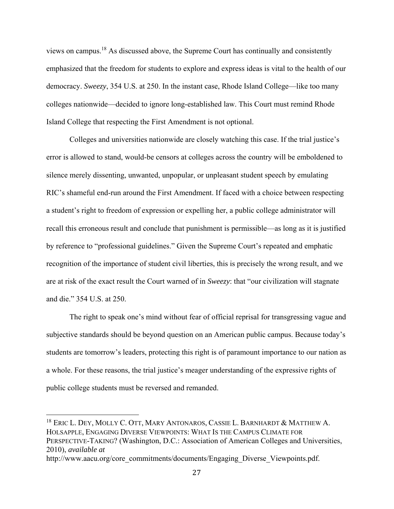views on campus.18 As discussed above, the Supreme Court has continually and consistently emphasized that the freedom for students to explore and express ideas is vital to the health of our democracy. *Sweezy*, 354 U.S. at 250. In the instant case, Rhode Island College—like too many colleges nationwide—decided to ignore long-established law. This Court must remind Rhode Island College that respecting the First Amendment is not optional.

Colleges and universities nationwide are closely watching this case. If the trial justice's error is allowed to stand, would-be censors at colleges across the country will be emboldened to silence merely dissenting, unwanted, unpopular, or unpleasant student speech by emulating RIC's shameful end-run around the First Amendment. If faced with a choice between respecting a student's right to freedom of expression or expelling her, a public college administrator will recall this erroneous result and conclude that punishment is permissible—as long as it is justified by reference to "professional guidelines." Given the Supreme Court's repeated and emphatic recognition of the importance of student civil liberties, this is precisely the wrong result, and we are at risk of the exact result the Court warned of in *Sweezy*: that "our civilization will stagnate and die." 354 U.S. at 250.

The right to speak one's mind without fear of official reprisal for transgressing vague and subjective standards should be beyond question on an American public campus. Because today's students are tomorrow's leaders, protecting this right is of paramount importance to our nation as a whole. For these reasons, the trial justice's meager understanding of the expressive rights of public college students must be reversed and remanded.

 $18$  ERIC L. DEY, MOLLY C. OTT, MARY ANTONAROS, CASSIE L. BARNHARDT & MATTHEW A. HOLSAPPLE, ENGAGING DIVERSE VIEWPOINTS: WHAT IS THE CAMPUS CLIMATE FOR PERSPECTIVE-TAKING? (Washington, D.C.: Association of American Colleges and Universities, 2010), *available at*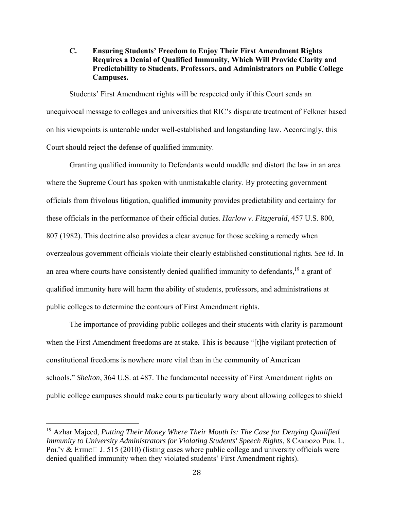**C. Ensuring Students' Freedom to Enjoy Their First Amendment Rights Requires a Denial of Qualified Immunity, Which Will Provide Clarity and Predictability to Students, Professors, and Administrators on Public College Campuses.** 

Students' First Amendment rights will be respected only if this Court sends an unequivocal message to colleges and universities that RIC's disparate treatment of Felkner based on his viewpoints is untenable under well-established and longstanding law. Accordingly, this Court should reject the defense of qualified immunity.

Granting qualified immunity to Defendants would muddle and distort the law in an area where the Supreme Court has spoken with unmistakable clarity. By protecting government officials from frivolous litigation, qualified immunity provides predictability and certainty for these officials in the performance of their official duties. *Harlow v. Fitzgerald*, 457 U.S. 800, 807 (1982). This doctrine also provides a clear avenue for those seeking a remedy when overzealous government officials violate their clearly established constitutional rights. *See id*. In an area where courts have consistently denied qualified immunity to defendants,<sup>19</sup> a grant of qualified immunity here will harm the ability of students, professors, and administrations at public colleges to determine the contours of First Amendment rights.

The importance of providing public colleges and their students with clarity is paramount when the First Amendment freedoms are at stake. This is because "[t]he vigilant protection of constitutional freedoms is nowhere more vital than in the community of American schools." *Shelton*, 364 U.S. at 487. The fundamental necessity of First Amendment rights on public college campuses should make courts particularly wary about allowing colleges to shield

<sup>19</sup> Azhar Majeed, *Putting Their Money Where Their Mouth Is: The Case for Denying Qualified Immunity to University Administrators for Violating Students' Speech Rights*, 8 CARDOZO PUB. L. Pol'y & ETHIC $\Box$  J. 515 (2010) (listing cases where public college and university officials were denied qualified immunity when they violated students' First Amendment rights).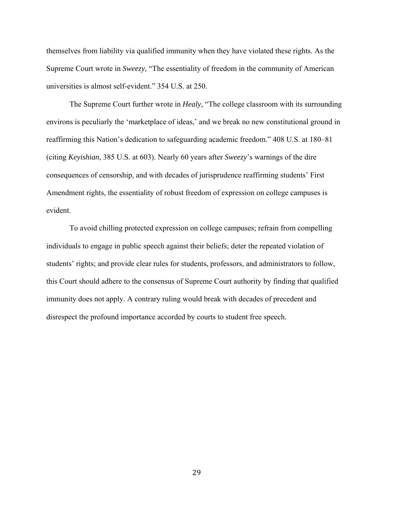themselves from liability via qualified immunity when they have violated these rights. As the Supreme Court wrote in *Sweezy*, "The essentiality of freedom in the community of American universities is almost self-evident." 354 U.S. at 250.

The Supreme Court further wrote in *Healy*, "The college classroom with its surrounding environs is peculiarly the 'marketplace of ideas,' and we break no new constitutional ground in reaffirming this Nation's dedication to safeguarding academic freedom." 408 U.S. at 180–81 (citing *Keyishian*, 385 U.S. at 603). Nearly 60 years after *Sweezy*'s warnings of the dire consequences of censorship, and with decades of jurisprudence reaffirming students' First Amendment rights, the essentiality of robust freedom of expression on college campuses is evident.

To avoid chilling protected expression on college campuses; refrain from compelling individuals to engage in public speech against their beliefs; deter the repeated violation of students' rights; and provide clear rules for students, professors, and administrators to follow, this Court should adhere to the consensus of Supreme Court authority by finding that qualified immunity does not apply. A contrary ruling would break with decades of precedent and disrespect the profound importance accorded by courts to student free speech.